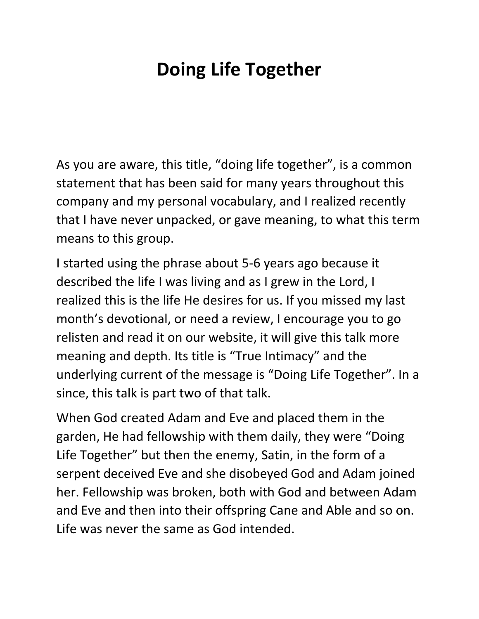## **Doing Life Together**

As you are aware, this title, "doing life together", is a common statement that has been said for many years throughout this company and my personal vocabulary, and I realized recently that I have never unpacked, or gave meaning, to what this term means to this group.

I started using the phrase about 5-6 years ago because it described the life I was living and as I grew in the Lord, I realized this is the life He desires for us. If you missed my last month's devotional, or need a review, I encourage you to go relisten and read it on our website, it will give this talk more meaning and depth. Its title is "True Intimacy" and the underlying current of the message is "Doing Life Together". In a since, this talk is part two of that talk.

When God created Adam and Eve and placed them in the garden, He had fellowship with them daily, they were "Doing Life Together" but then the enemy, Satin, in the form of a serpent deceived Eve and she disobeyed God and Adam joined her. Fellowship was broken, both with God and between Adam and Eve and then into their offspring Cane and Able and so on. Life was never the same as God intended.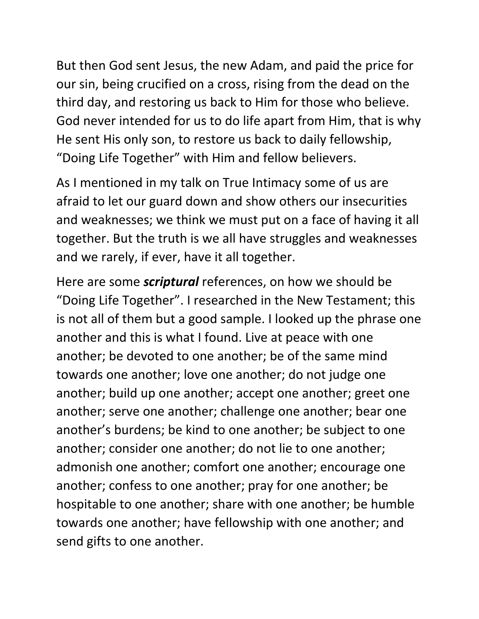But then God sent Jesus, the new Adam, and paid the price for our sin, being crucified on a cross, rising from the dead on the third day, and restoring us back to Him for those who believe. God never intended for us to do life apart from Him, that is why He sent His only son, to restore us back to daily fellowship, "Doing Life Together" with Him and fellow believers.

As I mentioned in my talk on True Intimacy some of us are afraid to let our guard down and show others our insecurities and weaknesses; we think we must put on a face of having it all together. But the truth is we all have struggles and weaknesses and we rarely, if ever, have it all together.

Here are some *scriptural* references, on how we should be "Doing Life Together". I researched in the New Testament; this is not all of them but a good sample. I looked up the phrase one another and this is what I found. Live at peace with one another; be devoted to one another; be of the same mind towards one another; love one another; do not judge one another; build up one another; accept one another; greet one another; serve one another; challenge one another; bear one another's burdens; be kind to one another; be subject to one another; consider one another; do not lie to one another; admonish one another; comfort one another; encourage one another; confess to one another; pray for one another; be hospitable to one another; share with one another; be humble towards one another; have fellowship with one another; and send gifts to one another.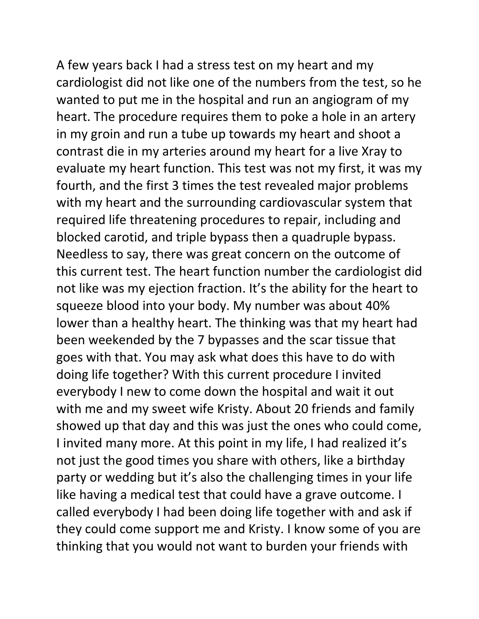A few years back I had a stress test on my heart and my cardiologist did not like one of the numbers from the test, so he wanted to put me in the hospital and run an angiogram of my heart. The procedure requires them to poke a hole in an artery in my groin and run a tube up towards my heart and shoot a contrast die in my arteries around my heart for a live Xray to evaluate my heart function. This test was not my first, it was my fourth, and the first 3 times the test revealed major problems with my heart and the surrounding cardiovascular system that required life threatening procedures to repair, including and blocked carotid, and triple bypass then a quadruple bypass. Needless to say, there was great concern on the outcome of this current test. The heart function number the cardiologist did not like was my ejection fraction. It's the ability for the heart to squeeze blood into your body. My number was about 40% lower than a healthy heart. The thinking was that my heart had been weekended by the 7 bypasses and the scar tissue that goes with that. You may ask what does this have to do with doing life together? With this current procedure I invited everybody I new to come down the hospital and wait it out with me and my sweet wife Kristy. About 20 friends and family showed up that day and this was just the ones who could come, I invited many more. At this point in my life, I had realized it's not just the good times you share with others, like a birthday party or wedding but it's also the challenging times in your life like having a medical test that could have a grave outcome. I called everybody I had been doing life together with and ask if they could come support me and Kristy. I know some of you are thinking that you would not want to burden your friends with